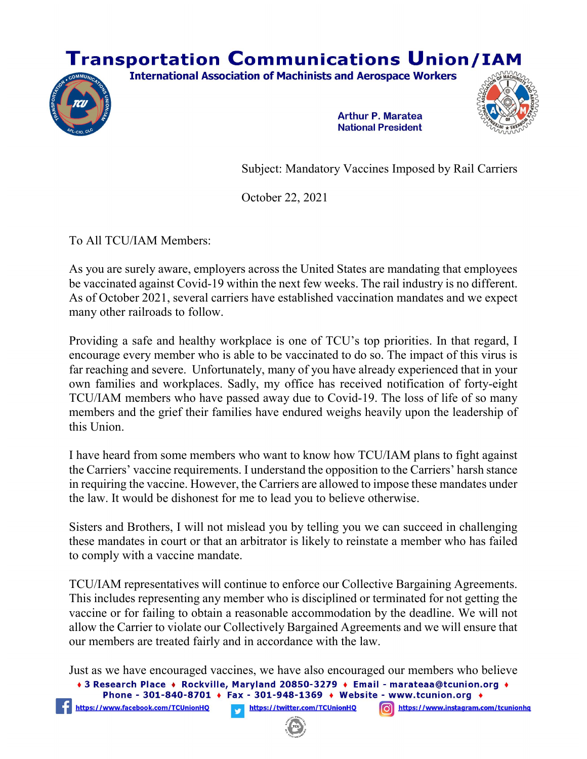## **Transportation Communications Union/IAM**





**Arthur P. Maratea National President** 



Subject: Mandatory Vaccines Imposed by Rail Carriers

October 22, 2021

To All TCU/IAM Members:

https://www.facebook.com/TCUnionHQ

As you are surely aware, employers across the United States are mandating that employees be vaccinated against Covid-19 within the next few weeks. The rail industry is no different. As of October 2021, several carriers have established vaccination mandates and we expect many other railroads to follow.

Providing a safe and healthy workplace is one of TCU's top priorities. In that regard, I encourage every member who is able to be vaccinated to do so. The impact of this virus is far reaching and severe. Unfortunately, many of you have already experienced that in your own families and workplaces. Sadly, my office has received notification of forty-eight TCU/IAM members who have passed away due to Covid-19. The loss of life of so many members and the grief their families have endured weighs heavily upon the leadership of this Union.

I have heard from some members who want to know how TCU/IAM plans to fight against the Carriers' vaccine requirements. I understand the opposition to the Carriers' harsh stance in requiring the vaccine. However, the Carriers are allowed to impose these mandates under the law. It would be dishonest for me to lead you to believe otherwise.

Sisters and Brothers, I will not mislead you by telling you we can succeed in challenging these mandates in court or that an arbitrator is likely to reinstate a member who has failed to comply with a vaccine mandate.

TCU/IAM representatives will continue to enforce our Collective Bargaining Agreements. This includes representing any member who is disciplined or terminated for not getting the vaccine or for failing to obtain a reasonable accommodation by the deadline. We will not allow the Carrier to violate our Collectively Bargained Agreements and we will ensure that our members are treated fairly and in accordance with the law.

```
Just as we have encouraged vaccines, we have also encouraged our members who believe • 3 Research Place • Rockville, Maryland 20850-3279 • Email - marateaa@tcunion.org •
Phone - 301-840-8701 + Fax - 301-948-1369 + Website - www.tcunion.org +
```

```
https://twitter.com/TCUnionHQ
                          https://www.instagram.com/tcunionhq
```
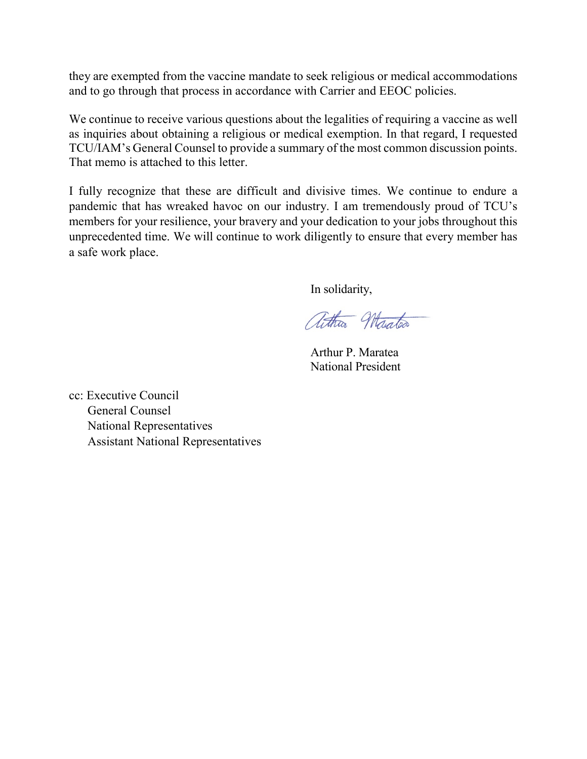they are exempted from the vaccine mandate to seek religious or medical accommodations and to go through that process in accordance with Carrier and EEOC policies.

We continue to receive various questions about the legalities of requiring a vaccine as well as inquiries about obtaining a religious or medical exemption. In that regard, I requested TCU/IAM's General Counsel to provide a summary of the most common discussion points. That memo is attached to this letter.

I fully recognize that these are difficult and divisive times. We continue to endure a pandemic that has wreaked havoc on our industry. I am tremendously proud of TCU's members for your resilience, your bravery and your dedication to your jobs throughout this unprecedented time. We will continue to work diligently to ensure that every member has a safe work place.

In solidarity,

athra Maratea

 Arthur P. Maratea National President

cc: Executive Council General Counsel National Representatives Assistant National Representatives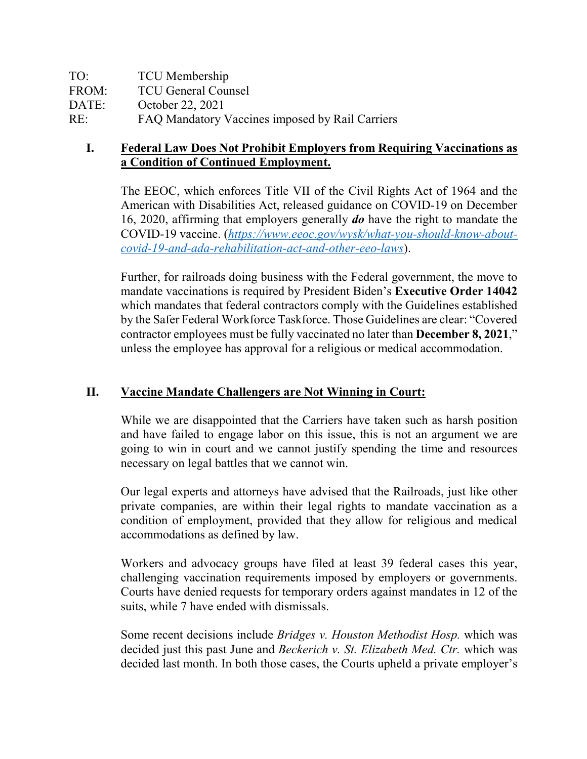| TO:   | <b>TCU</b> Membership                           |
|-------|-------------------------------------------------|
| FROM: | <b>TCU General Counsel</b>                      |
| DATE: | October 22, 2021                                |
| RE:   | FAQ Mandatory Vaccines imposed by Rail Carriers |

## **I. Federal Law Does Not Prohibit Employers from Requiring Vaccinations as a Condition of Continued Employment.**

The EEOC, which enforces Title VII of the Civil Rights Act of 1964 and the American with Disabilities Act, released guidance on COVID-19 on December 16, 2020, affirming that employers generally *do* have the right to mandate the COVID-19 vaccine. (*[https://www.eeoc.gov/wysk/what-you-should-know-about](https://www.eeoc.gov/wysk/what-you-should-know-about-covid-19-and-ada-rehabilitation-act-and-other-eeo-laws)[covid-19-and-ada-rehabilitation-act-and-other-eeo-laws](https://www.eeoc.gov/wysk/what-you-should-know-about-covid-19-and-ada-rehabilitation-act-and-other-eeo-laws)*).

Further, for railroads doing business with the Federal government, the move to mandate vaccinations is required by President Biden's **Executive Order 14042** which mandates that federal contractors comply with the Guidelines established by the Safer Federal Workforce Taskforce. Those Guidelines are clear: "Covered contractor employees must be fully vaccinated no later than **December 8, 2021**," unless the employee has approval for a religious or medical accommodation.

## **II. Vaccine Mandate Challengers are Not Winning in Court:**

While we are disappointed that the Carriers have taken such as harsh position and have failed to engage labor on this issue, this is not an argument we are going to win in court and we cannot justify spending the time and resources necessary on legal battles that we cannot win.

Our legal experts and attorneys have advised that the Railroads, just like other private companies, are within their legal rights to mandate vaccination as a condition of employment, provided that they allow for religious and medical accommodations as defined by law.

Workers and advocacy groups have filed at least 39 federal cases this year, challenging vaccination requirements imposed by employers or governments. Courts have denied requests for temporary orders against mandates in 12 of the suits, while 7 have ended with dismissals.

Some recent decisions include *Bridges v. Houston Methodist Hosp.* which was decided just this past June and *Beckerich v. St. Elizabeth Med. Ctr.* which was decided last month. In both those cases, the Courts upheld a private employer's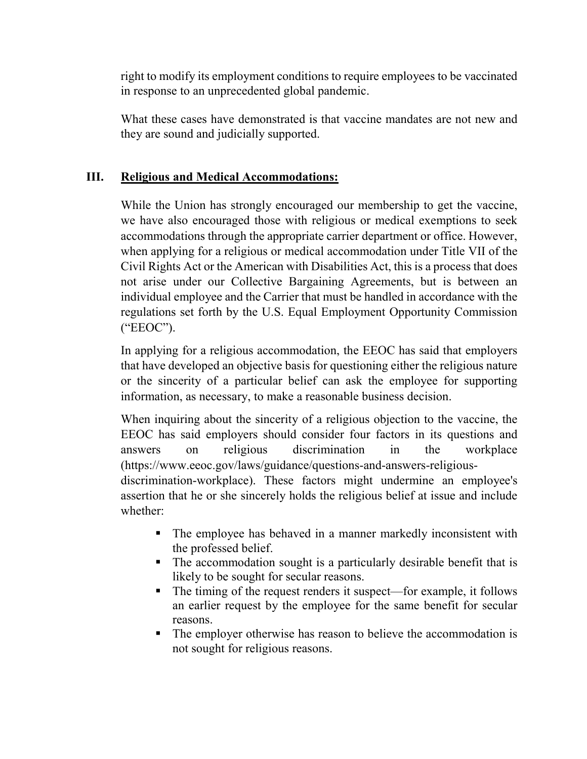right to modify its employment conditions to require employees to be vaccinated in response to an unprecedented global pandemic.

What these cases have demonstrated is that vaccine mandates are not new and they are sound and judicially supported.

## **III. Religious and Medical Accommodations:**

While the Union has strongly encouraged our membership to get the vaccine, we have also encouraged those with religious or medical exemptions to seek accommodations through the appropriate carrier department or office. However, when applying for a religious or medical accommodation under Title VII of the Civil Rights Act or the American with Disabilities Act, this is a process that does not arise under our Collective Bargaining Agreements, but is between an individual employee and the Carrier that must be handled in accordance with the regulations set forth by the U.S. Equal Employment Opportunity Commission ("EEOC").

In applying for a religious accommodation, the EEOC has said that employers that have developed an objective basis for questioning either the religious nature or the sincerity of a particular belief can ask the employee for supporting information, as necessary, to make a reasonable business decision.

When inquiring about the sincerity of a religious objection to the vaccine, the EEOC has said employers should consider four factors in its questions and answers on religious discrimination in the workplace (https://www.eeoc.gov/laws/guidance/questions-and-answers-religious-

discrimination-workplace). These factors might undermine an employee's assertion that he or she sincerely holds the religious belief at issue and include whether:

- The employee has behaved in a manner markedly inconsistent with the professed belief.
- The accommodation sought is a particularly desirable benefit that is likely to be sought for secular reasons.
- The timing of the request renders it suspect—for example, it follows an earlier request by the employee for the same benefit for secular reasons.
- The employer otherwise has reason to believe the accommodation is not sought for religious reasons.